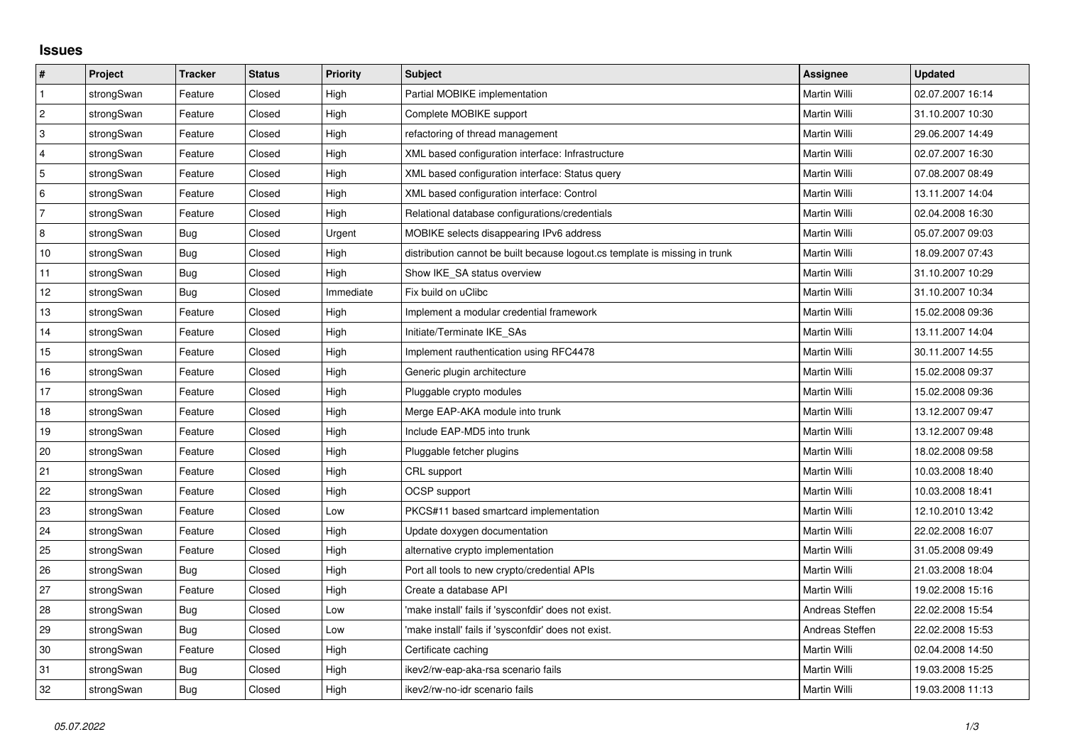## **Issues**

| $\vert$ #                 | Project    | <b>Tracker</b> | <b>Status</b> | Priority  | <b>Subject</b>                                                              | <b>Assignee</b>     | <b>Updated</b>   |
|---------------------------|------------|----------------|---------------|-----------|-----------------------------------------------------------------------------|---------------------|------------------|
| $\overline{1}$            | strongSwan | Feature        | Closed        | High      | Partial MOBIKE implementation                                               | Martin Willi        | 02.07.2007 16:14 |
| $\overline{c}$            | strongSwan | Feature        | Closed        | High      | Complete MOBIKE support                                                     | Martin Willi        | 31.10.2007 10:30 |
| $\ensuremath{\mathsf{3}}$ | strongSwan | Feature        | Closed        | High      | refactoring of thread management                                            | Martin Willi        | 29.06.2007 14:49 |
| $\overline{4}$            | strongSwan | Feature        | Closed        | High      | XML based configuration interface: Infrastructure                           | Martin Willi        | 02.07.2007 16:30 |
| $\overline{5}$            | strongSwan | Feature        | Closed        | High      | XML based configuration interface: Status query                             | Martin Willi        | 07.08.2007 08:49 |
| $\,6\,$                   | strongSwan | Feature        | Closed        | High      | XML based configuration interface: Control                                  | Martin Willi        | 13.11.2007 14:04 |
| $\overline{7}$            | strongSwan | Feature        | Closed        | High      | Relational database configurations/credentials                              | Martin Willi        | 02.04.2008 16:30 |
| 8                         | strongSwan | Bug            | Closed        | Urgent    | MOBIKE selects disappearing IPv6 address                                    | Martin Willi        | 05.07.2007 09:03 |
| $10$                      | strongSwan | <b>Bug</b>     | Closed        | High      | distribution cannot be built because logout.cs template is missing in trunk | Martin Willi        | 18.09.2007 07:43 |
| 11                        | strongSwan | <b>Bug</b>     | Closed        | High      | Show IKE SA status overview                                                 | Martin Willi        | 31.10.2007 10:29 |
| 12                        | strongSwan | Bug            | Closed        | Immediate | Fix build on uClibc                                                         | Martin Willi        | 31.10.2007 10:34 |
| 13                        | strongSwan | Feature        | Closed        | High      | Implement a modular credential framework                                    | Martin Willi        | 15.02.2008 09:36 |
| 14                        | strongSwan | Feature        | Closed        | High      | Initiate/Terminate IKE SAs                                                  | Martin Willi        | 13.11.2007 14:04 |
| 15                        | strongSwan | Feature        | Closed        | High      | Implement rauthentication using RFC4478                                     | Martin Willi        | 30.11.2007 14:55 |
| 16                        | strongSwan | Feature        | Closed        | High      | Generic plugin architecture                                                 | Martin Willi        | 15.02.2008 09:37 |
| 17                        | strongSwan | Feature        | Closed        | High      | Pluggable crypto modules                                                    | Martin Willi        | 15.02.2008 09:36 |
| 18                        | strongSwan | Feature        | Closed        | High      | Merge EAP-AKA module into trunk                                             | <b>Martin Willi</b> | 13.12.2007 09:47 |
| 19                        | strongSwan | Feature        | Closed        | High      | Include EAP-MD5 into trunk                                                  | Martin Willi        | 13.12.2007 09:48 |
| 20                        | strongSwan | Feature        | Closed        | High      | Pluggable fetcher plugins                                                   | Martin Willi        | 18.02.2008 09:58 |
| 21                        | strongSwan | Feature        | Closed        | High      | CRL support                                                                 | Martin Willi        | 10.03.2008 18:40 |
| 22                        | strongSwan | Feature        | Closed        | High      | OCSP support                                                                | Martin Willi        | 10.03.2008 18:41 |
| 23                        | strongSwan | Feature        | Closed        | Low       | PKCS#11 based smartcard implementation                                      | Martin Willi        | 12.10.2010 13:42 |
| 24                        | strongSwan | Feature        | Closed        | High      | Update doxygen documentation                                                | Martin Willi        | 22.02.2008 16:07 |
| 25                        | strongSwan | Feature        | Closed        | High      | alternative crypto implementation                                           | Martin Willi        | 31.05.2008 09:49 |
| 26                        | strongSwan | <b>Bug</b>     | Closed        | High      | Port all tools to new crypto/credential APIs                                | Martin Willi        | 21.03.2008 18:04 |
| 27                        | strongSwan | Feature        | Closed        | High      | Create a database API                                                       | Martin Willi        | 19.02.2008 15:16 |
| 28                        | strongSwan | Bug            | Closed        | Low       | 'make install' fails if 'sysconfdir' does not exist.                        | Andreas Steffen     | 22.02.2008 15:54 |
| 29                        | strongSwan | <b>Bug</b>     | Closed        | Low       | 'make install' fails if 'sysconfdir' does not exist.                        | Andreas Steffen     | 22.02.2008 15:53 |
| 30                        | strongSwan | Feature        | Closed        | High      | Certificate caching                                                         | Martin Willi        | 02.04.2008 14:50 |
| 31                        | strongSwan | Bug            | Closed        | High      | ikev2/rw-eap-aka-rsa scenario fails                                         | Martin Willi        | 19.03.2008 15:25 |
| 32                        | strongSwan | Bug            | Closed        | High      | ikev2/rw-no-idr scenario fails                                              | Martin Willi        | 19.03.2008 11:13 |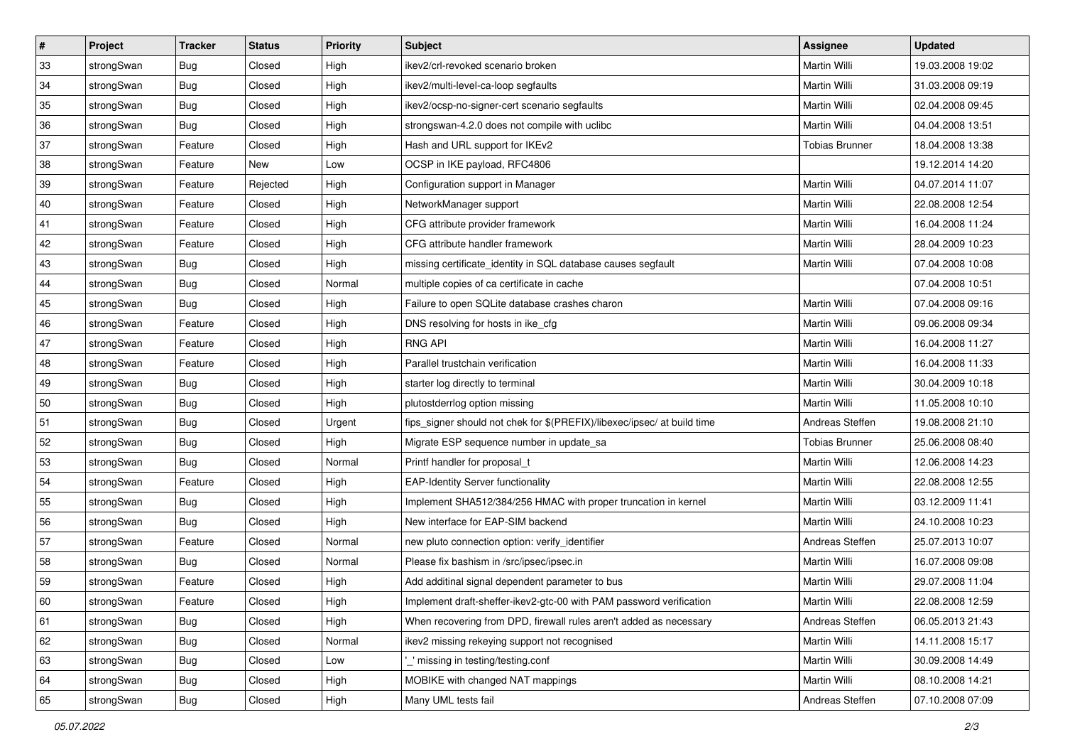| $\vert$ # | Project    | <b>Tracker</b> | <b>Status</b> | <b>Priority</b> | <b>Subject</b>                                                          | <b>Assignee</b>       | <b>Updated</b>   |
|-----------|------------|----------------|---------------|-----------------|-------------------------------------------------------------------------|-----------------------|------------------|
| 33        | strongSwan | <b>Bug</b>     | Closed        | High            | ikev2/crl-revoked scenario broken                                       | Martin Willi          | 19.03.2008 19:02 |
| 34        | strongSwan | Bug            | Closed        | High            | ikev2/multi-level-ca-loop segfaults                                     | <b>Martin Willi</b>   | 31.03.2008 09:19 |
| 35        | strongSwan | <b>Bug</b>     | Closed        | High            | ikev2/ocsp-no-signer-cert scenario segfaults                            | Martin Willi          | 02.04.2008 09:45 |
| 36        | strongSwan | <b>Bug</b>     | Closed        | High            | strongswan-4.2.0 does not compile with uclibc                           | Martin Willi          | 04.04.2008 13:51 |
| 37        | strongSwan | Feature        | Closed        | High            | Hash and URL support for IKEv2                                          | <b>Tobias Brunner</b> | 18.04.2008 13:38 |
| 38        | strongSwan | Feature        | New           | Low             | OCSP in IKE payload, RFC4806                                            |                       | 19.12.2014 14:20 |
| 39        | strongSwan | Feature        | Rejected      | High            | Configuration support in Manager                                        | Martin Willi          | 04.07.2014 11:07 |
| 40        | strongSwan | Feature        | Closed        | High            | NetworkManager support                                                  | Martin Willi          | 22.08.2008 12:54 |
| 41        | strongSwan | Feature        | Closed        | High            | CFG attribute provider framework                                        | Martin Willi          | 16.04.2008 11:24 |
| 42        | strongSwan | Feature        | Closed        | High            | CFG attribute handler framework                                         | Martin Willi          | 28.04.2009 10:23 |
| 43        | strongSwan | <b>Bug</b>     | Closed        | High            | missing certificate_identity in SQL database causes segfault            | Martin Willi          | 07.04.2008 10:08 |
| 44        | strongSwan | <b>Bug</b>     | Closed        | Normal          | multiple copies of ca certificate in cache                              |                       | 07.04.2008 10:51 |
| 45        | strongSwan | Bug            | Closed        | High            | Failure to open SQLite database crashes charon                          | Martin Willi          | 07.04.2008 09:16 |
| 46        | strongSwan | Feature        | Closed        | High            | DNS resolving for hosts in ike_cfg                                      | Martin Willi          | 09.06.2008 09:34 |
| 47        | strongSwan | Feature        | Closed        | High            | <b>RNG API</b>                                                          | <b>Martin Willi</b>   | 16.04.2008 11:27 |
| 48        | strongSwan | Feature        | Closed        | High            | Parallel trustchain verification                                        | Martin Willi          | 16.04.2008 11:33 |
| 49        | strongSwan | <b>Bug</b>     | Closed        | High            | starter log directly to terminal                                        | <b>Martin Willi</b>   | 30.04.2009 10:18 |
| 50        | strongSwan | Bug            | Closed        | High            | plutostderrlog option missing                                           | <b>Martin Willi</b>   | 11.05.2008 10:10 |
| 51        | strongSwan | <b>Bug</b>     | Closed        | Urgent          | fips_signer should not chek for \$(PREFIX)/libexec/ipsec/ at build time | Andreas Steffen       | 19.08.2008 21:10 |
| 52        | strongSwan | Bug            | Closed        | High            | Migrate ESP sequence number in update_sa                                | <b>Tobias Brunner</b> | 25.06.2008 08:40 |
| 53        | strongSwan | Bug            | Closed        | Normal          | Printf handler for proposal t                                           | Martin Willi          | 12.06.2008 14:23 |
| 54        | strongSwan | Feature        | Closed        | High            | <b>EAP-Identity Server functionality</b>                                | Martin Willi          | 22.08.2008 12:55 |
| 55        | strongSwan | Bug            | Closed        | High            | Implement SHA512/384/256 HMAC with proper truncation in kernel          | Martin Willi          | 03.12.2009 11:41 |
| 56        | strongSwan | <b>Bug</b>     | Closed        | High            | New interface for EAP-SIM backend                                       | Martin Willi          | 24.10.2008 10:23 |
| 57        | strongSwan | Feature        | Closed        | Normal          | new pluto connection option: verify_identifier                          | Andreas Steffen       | 25.07.2013 10:07 |
| 58        | strongSwan | <b>Bug</b>     | Closed        | Normal          | Please fix bashism in /src/ipsec/ipsec.in                               | <b>Martin Willi</b>   | 16.07.2008 09:08 |
| 59        | strongSwan | Feature        | Closed        | High            | Add additinal signal dependent parameter to bus                         | Martin Willi          | 29.07.2008 11:04 |
| 60        | strongSwan | Feature        | Closed        | High            | Implement draft-sheffer-ikev2-gtc-00 with PAM password verification     | Martin Willi          | 22.08.2008 12:59 |
| 61        | strongSwan | Bug            | Closed        | High            | When recovering from DPD, firewall rules aren't added as necessary      | Andreas Steffen       | 06.05.2013 21:43 |
| 62        | strongSwan | <b>Bug</b>     | Closed        | Normal          | ikev2 missing rekeying support not recognised                           | Martin Willi          | 14.11.2008 15:17 |
| 63        | strongSwan | Bug            | Closed        | Low             | missing in testing/testing.conf                                         | Martin Willi          | 30.09.2008 14:49 |
| 64        | strongSwan | Bug            | Closed        | High            | MOBIKE with changed NAT mappings                                        | Martin Willi          | 08.10.2008 14:21 |
| 65        | strongSwan | Bug            | Closed        | High            | Many UML tests fail                                                     | Andreas Steffen       | 07.10.2008 07:09 |